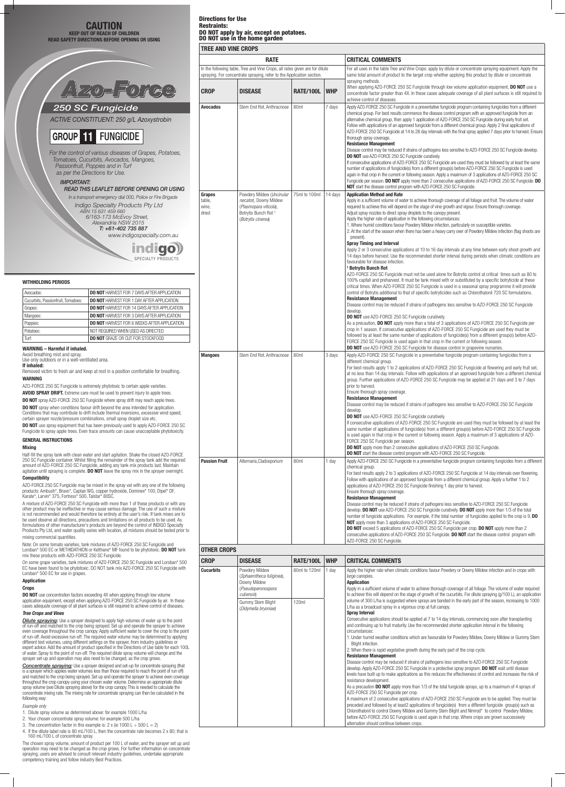## Directions for Use Restraints: DO NOT apply by air, except on potatoes. DO NOT use in the home garden

# **TREE AND VINE CROPS**

|                                    | <b>RATE</b>                                                                                                                                          |                        |            | <b>CRITICAL COMMENTS</b>                                                                                                                                                                                                                                                                                                                                                                                                                                                                                                                                                                                                                                                                                                                                                                                                                                                                                                                                                                                                                                                                                                                                                                                                                                                                                                                                                                                                                                                                                                                                                                                                                                                                                                                                                                                                                                                                                                                                                                                                                                    |
|------------------------------------|------------------------------------------------------------------------------------------------------------------------------------------------------|------------------------|------------|-------------------------------------------------------------------------------------------------------------------------------------------------------------------------------------------------------------------------------------------------------------------------------------------------------------------------------------------------------------------------------------------------------------------------------------------------------------------------------------------------------------------------------------------------------------------------------------------------------------------------------------------------------------------------------------------------------------------------------------------------------------------------------------------------------------------------------------------------------------------------------------------------------------------------------------------------------------------------------------------------------------------------------------------------------------------------------------------------------------------------------------------------------------------------------------------------------------------------------------------------------------------------------------------------------------------------------------------------------------------------------------------------------------------------------------------------------------------------------------------------------------------------------------------------------------------------------------------------------------------------------------------------------------------------------------------------------------------------------------------------------------------------------------------------------------------------------------------------------------------------------------------------------------------------------------------------------------------------------------------------------------------------------------------------------------|
|                                    | In the following table, Tree and Vine Crops, all rates given are for dilute<br>spraying. For concentrate spraying, refer to the Application section. |                        |            | For all uses in the table Tree and Vine Crops: apply by dilute or concentrate spraying equipment. Apply the<br>same total amount of product to the target crop whether applying this product by dilute or concentrate                                                                                                                                                                                                                                                                                                                                                                                                                                                                                                                                                                                                                                                                                                                                                                                                                                                                                                                                                                                                                                                                                                                                                                                                                                                                                                                                                                                                                                                                                                                                                                                                                                                                                                                                                                                                                                       |
| <b>CROP</b>                        | <b>DISEASE</b>                                                                                                                                       | <b>RATE/100L</b>       | <b>WHP</b> | spraying methods.<br>When applying AZO-FORCE 250 SC Fungicide through low volume application equipment, <b>DO NOT</b> use a<br>concentrate factor greater than 4X. In these cases adequate coverage of all plant surfaces is still required to                                                                                                                                                                                                                                                                                                                                                                                                                                                                                                                                                                                                                                                                                                                                                                                                                                                                                                                                                                                                                                                                                                                                                                                                                                                                                                                                                                                                                                                                                                                                                                                                                                                                                                                                                                                                              |
| <b>Avocados</b>                    | Stem End Rot, Anthracnose                                                                                                                            | 80ml                   | 7 days     | achieve control of diseases.<br>Apply AZO-FORCE 250 SC Fungicide in a preventative fungicide program containing fungicides from a different<br>chemical group. For best results commence the disease control program with an approved fungicide from an<br>alternative chemical group, then apply 1 application of AZO-FORCE 250 SC Fungicide during early fruit set.<br>Follow with applications of an approved fungicide from a different chemical group. Apply 2 final applications of<br>AZO-FORCE 250 SC Fungicide at 14 to 28 day intervals with the final spray applied 7 days prior to harvest. Ensure<br>thorough spray coverage.<br><b>Resistance Management</b><br>Disease control may be reduced if strains of pathogens less sensitive to AZO-FORCE 250 SC Fungicide develop.<br><b>DO NOT</b> use AZO-FORCE 250 SC Fungicide curatively.<br>If consecutive applications of AZO-FORCE 250 SC Fungicide are used they must be followed by at least the same<br>number of applications of fungicide(s) from a different group(s) before AZO-FORCE 250 SC Fungicide is used<br>again in that crop in the current or following season. Apply a maximum of 3 applications of AZO-FORCE 250 SC<br>Fungicide per season. DO NOT apply more than 2 consecutive applications of AZO-FORCE 250 SC Fungicide. DO<br>NOT start the disease control program with AZO-FORCE 250 SC Fungicide.                                                                                                                                                                                                                                                                                                                                                                                                                                                                                                                                                                                                                                                                |
| Grapes<br>table,<br>wine,<br>dried | Powdery Mildew (Uncinular<br>necator), Downy Mildew<br>(Plasmopara viticola),<br>Botrytis Bunch Rot +<br>(Botrytis cinerea)                          | 75ml to 100ml          | 14 days    | <b>Application Method and Rate</b><br>Apply in a sufficient volume of water to achieve thorough coverage of all foliage and fruit. The volume of water<br>required to achieve this will depend on the stage of vine growth and vigour. Ensure thorough coverage.<br>Adjust spray nozzles to direct spray droplets to the canopy present.<br>Apply the higher rate of application in the following circumstances:<br>1. Where humid conditions favour Powdery Mildew infection, particularly on susceptible varieties.<br>2. At the start of the season when there has been a heavy carry over of Powdery Mildew infection (flag shoots are<br>present).<br><b>Spray Timing and Interval</b><br>Apply 2 or 3 consecutive applications at 10 to 16 day intervals at any time between early shoot growth and<br>14 days before harvest. Use the recommended shorter interval during periods when climatic conditions are<br>favourable for disease infection.<br><sup>†</sup> Botrytis Bunch Rot                                                                                                                                                                                                                                                                                                                                                                                                                                                                                                                                                                                                                                                                                                                                                                                                                                                                                                                                                                                                                                                               |
|                                    |                                                                                                                                                      |                        |            | AZO-FORCE 250 SC Fungicide must not be used alone for Botrytis control at critical times such as 80 to<br>100% capfall and preharvest. It must be tank mixed with or substituted by a specific botryticide at these<br>critical times. When AZO-FORCE 250 SC Fungicide is used in a seasonal spray programme it will provide<br>control of Botrytis additional to that of specific botryticides such as Chlorothalonil 720 SC formulations.<br><b>Resistance Management</b><br>Disease control may be reduced if strains of pathogens less sensitive to AZO-FORCE 250 SC Fungicide<br>develop.<br><b>DO NOT</b> use AZO-FORCE 250 SC Fungicide curatively.<br>As a precaution, <b>DO NOT</b> apply more than a total of 3 applications of AZO-FORCE 250 SC Fungicide per<br>crop in 1 season. If consecutive applications of AZO-FORCE 250 SC Fungicide are used they must be<br>followed by at least the same number of applications of fungicide(s) from a different group(s) before AZO-<br>FORCE 250 SC Fungicide is used again in that crop in the current or following season.<br><b>DO NOT</b> use AZO-FORCE 250 SC Fungicide for disease control in grapevine nurseries.                                                                                                                                                                                                                                                                                                                                                                                                                                                                                                                                                                                                                                                                                                                                                                                                                                                                            |
| <b>Mangoes</b>                     | Stem End Rot, Anthracnose                                                                                                                            | 80 <sub>ml</sub>       | 3 days     | Apply AZO-FORCE 250 SC Fungicide in a preventative fungicide program containing fungicides from a<br>different chemical group.<br>For best results apply 1 to 2 applications of AZO-FORCE 250 SC Fungicide at flowering and early fruit set,<br>at no less than 14 day intervals. Follow with applications of an approved fungicide from a different chemical<br>group. Further applications of AZO-FORCE 250 SC Fungicide may be applied at 21 days and 3 to 7 days<br>prior to harvest.<br>Ensure thorough spray coverage.<br><b>Resistance Management</b><br>Disease control may be reduced if strains of pathogens less sensitive to AZO-FORCE 250 SC Fungicide<br>develop.<br><b>DO NOT</b> use AZO-FORCE 250 SC Fungicide curatively.<br>If consecutive applications of AZO-FORCE 250 SC Fungicide are used they must be followed by at least the<br>same number of applications of fungicide(s) from a different group(s) before AZO-FORCE 250 SC Fungicide<br>is used again in that crop in the current or following season. Apply a maximum of 3 applications of AZO-<br>FORCE 250 SC Fungicide per season.<br><b>DO NOT</b> apply more than 2 consecutive applications of AZO-FORCE 250 SC Fungicide.<br>DO NOT start the disease control program with AZO-FORCE 250 SC Fungicide.                                                                                                                                                                                                                                                                                                                                                                                                                                                                                                                                                                                                                                                                                                                                                                |
| <b>Passion Fruit</b>               | Alternaria, Cladosporium                                                                                                                             | 80ml                   | 1 day      | Apply AZO-FORCE 250 SC Fungicide in a preventative fungicide program containing fungicides from a different<br>chemical group.<br>For best results apply 2 to 3 applications of AZO-FORCE 250 SC Fungicide at 14 day intervals over flowering.<br>Follow with applications of an approved fungicide from a different chemical group. Apply a further 1 to 2<br>applications of AZO-FORCE 250 SC Fungicide finishing 1 day prior to harvest.<br>Ensure thorough spray coverage.<br><b>Resistance Management</b><br>Disease control may be reduced if strains of pathogens less sensitive to AZO-FORCE 250 SC Fungicide<br>develop. DO NOT use AZO-FORCE 250 SC Fungicide curatively. DO NOT apply more than 1/3 of the total<br>number of fungicide applications. For example, if the total number of fungicides applied to the crop is 9, DO<br><b>NOT</b> apply more than 3 applications of AZO-FORCE 250 SC Fungicide.<br>DO NOT exceed 5 applications of AZO-FORCE 250 SC Fungicide per crop. DO NOT apply more than 2<br>consecutive applications of AZO-FORCE 250 SC Fungicide. DO NOT start the disease control program with<br>AZO-FORCE 250 SC Fungicide.                                                                                                                                                                                                                                                                                                                                                                                                                                                                                                                                                                                                                                                                                                                                                                                                                                                                                           |
| <b>OTHER CROPS</b>                 |                                                                                                                                                      |                        |            |                                                                                                                                                                                                                                                                                                                                                                                                                                                                                                                                                                                                                                                                                                                                                                                                                                                                                                                                                                                                                                                                                                                                                                                                                                                                                                                                                                                                                                                                                                                                                                                                                                                                                                                                                                                                                                                                                                                                                                                                                                                             |
| <b>CROP</b>                        | <b>DISEASE</b>                                                                                                                                       | <b>RATE/100L</b>       | <b>WHP</b> | <b>CRITICAL COMMENTS</b>                                                                                                                                                                                                                                                                                                                                                                                                                                                                                                                                                                                                                                                                                                                                                                                                                                                                                                                                                                                                                                                                                                                                                                                                                                                                                                                                                                                                                                                                                                                                                                                                                                                                                                                                                                                                                                                                                                                                                                                                                                    |
| <b>Cucurbits</b>                   | Powdery Mildew<br>(Sphaerotheca fuliginea),<br>Downy Mildew<br>(Pseudoperonospora<br>cubensis)<br>Gummy Stem Blight<br>(Didymella bryoniae)          | 80ml to 120ml<br>120ml | 1 day      | Apply the higher rate when climatic conditions favour Powdery or Downy Mildew infection and in crops with<br>large canopies.<br><b>Application</b><br>Apply in a sufficient volume of water to achieve thorough coverage of all foliage. The volume of water required<br>to achieve this will depend on the stage of growth of the cucurbits. For dilute spraying $(g/100 L)$ , an application<br>volume of 300 L/ha is suggested where sprays are banded in the early part of the season, increasing to 1000<br>L/ha as a broadcast spray in a vigorous crop at full canopy.<br><b>Spray Interval</b><br>Consecutive applications should be applied at 7 to 14 day intervals, commencing soon after transplanting<br>and continuing up to fruit maturity. Use the recommended shorter application interval in the following<br>circumstances:<br>1. Under humid weather conditions which are favourable for Powdery Mildew, Downy Mildew or Gummy Stem<br>Blight infection.<br>2. When there is rapid vegetative growth during the early part of the crop cycle.<br><b>Resistance Management</b><br>Disease control may be reduced if strains of pathogens less sensitive to AZO-FORCE 250 SC Fungicide<br>develop. Apply AZO-FORCE 250 SC Fungicide in a protective spray program. DO NOT wait until disease<br>levels have built up to make applications as this reduces the effectiveness of control and increases the risk of<br>resistance development.<br>As a precaution <b>DO NOT</b> apply more than 1/3 of the total fungicide sprays, up to a maximum of 4 sprays of<br>AZO-FORCE 250 SC Fungicide per crop.<br>A maximum of 2 consecutive applications of AZO-FORCE 250 SC Fungicide are to be applied. They must be<br>preceded and followed by at least2 applications of fungicide(s) from a different fungicide group(s) such as<br>Chlorothalonil to control Downy Mildew and Gummy Stem Blight and Nimrod* to control Powdery Mildew,<br>before AZO-FORCE 250 SC Fungicide is used again in that crop. Where crops are grown successively |

**DO NOT** spray AZO-FORCE 250 SC Fungicide where spray drift may reach apple trees. **DO NOT** spray when conditions favour drift beyond the area intended for application. Conditions that may contribute to drift include thermal inversions, excessive wind speed, certain sprayer nozzle/pressure combinations, small spray droplet size etc.

**DO NOT** use spray equipment that has been previously used to apply AZO-FORCE 250 SC Fungicide to spray apple trees. Even trace amounts can cause unacceptable phytotoxicity.

On some grape varieties, tank mixtures of AZO-FORCE 250 SC Fungicide and Lorsban\* 500 EC have been found to be phytotoxic. DO NOT tank mix AZO-FORCE 250 SC Fungicide with n\* 500 EC for use in grapes

**DO NOT** use concentration factors exceeding 4X when applying through low volume application equipment, except when applying AZO-FORCE 250 SC Fungicide by air. In these cases adequate coverage of all plant surfaces is still required to achieve control of diseases.

**Dilute spraying:** Use a sprayer designed to apply high volumes of water up to the point of run-off and matched to the crop being sprayed. Set up and operate the sprayer to achieve even coverage throughout the crop canopy. Apply sufficient water to cover the crop to the point of run-off. Avoid excessive run-off. The required water volume may be determined by applying different test volumes, using different settings on the sprayer, from industry guidelines or expert advice. Add the amount of product specified in the Directions of Use table for each 100L of water. Spray to the point of run-off. The required dilute spray volume will change and the sprayer set-up and operation may also need to be changed, as the crop grows.

### **WARNING – Harmful if inhaled.**

Avoid breathing mist and spray. Use only outdoors or in a well-ventilated area.

**If inhaled:**

### Removed victim to fresh air and keep at rest in a position comfortable for breathing.

**WARNING**

AZO-FORCE 250 SC Fungicide is extremely phytotoxic to certain apple varieties.

**AVOID SPRAY DRIFT.** Extreme care must be used to prevent injury to apple trees.

### **GENERAL INSTRUCTIONS**

# **Mixing**

Half-fill the spray tank with clean water and start agitation. Shake the closed AZO-FORCE 250 SC Fungicide container. Whilst filling the remainder of the spray tank add the required amount of AZO-FORCE 250 SC Fungicide, adding any tank-mix products last. Maintain agitation until spraying is complete. **DO NOT** leave the spray mix in the sprayer overnight.

# **Compatibility**

AZO-FORCE 250 SC Fungicide may be mixed in the spray vat with any one of the following products: Ambush\*, Bravo\*, Captan WG, copper hydroxide, Dominex\* 100, Dipel\* DF, Karate\*, Larvin\* 375, Fortress\* 500, Talstar\* 80SC.

A mixture of AZO-FORCE 250 SC Fungicide with more than 1 of these products or with any other product may be ineffective or may cause serious damage. The use of such a mixture is not recommended and would therefore be entirely at the user's risk. If tank mixes are to be used observe all directions, precautions and limitations on all products to be used. As formulations of other manufacturer's products are beyond the control of INDIGO Specialty Products Pty Ltd, and water quality varies with location, all mixtures should be tested prior to mixing commercial quantities.

Note: On some tomato varieties, tank mixtures of AZO-FORCE 250 SC Fungicide and Lorsban\* 500 EC or METHIDATHION or Kelthane\* MF found to be phytotoxic. **DO NOT** tank mix these products with AZO-FORCE 250 SC Fungicide.

#### **Application**



#### **Crops**

### **Tree Crops and Vines**

*Concentrate spraying:* Use a sprayer designed and set-up for concentrate spraying (that is a sprayer which applies water volumes less than those required to reach the point of run off) and matched to the crop being sprayed. Set up and operate the sprayer to achieve even coverage throughout the crop canopy using your chosen water volume. Determine an appropriate dilute spray volume (see Dilute spraying above) for the crop canopy. This is needed to calculate the concentrate mixing rate. The mixing rate for concentrate spraying can then be calculated in the following way:

#### Example only

- 1. Dilute spray volume as determined above: for example 1000 L/ha
- 2. Your chosen concentrate spray volume: for example 500 L/ha
- 3. The concentration factor in this example is: 2 x (ie 1000 L  $\div$  500 L = 2)
- 4. If the dilute label rate is 80 mL/100 L, then the concentrate rate becomes 2 x 80; that is 160 mL/100 L of concentrate spray.

The chosen spray volume, amount of product per 100 L of water, and the sprayer set up and operation may need to be changed as the crop grows. For further information on concentrate spraying, users are advised to consult relevant industry guidelines, undertake appropriate competency training and follow industry Best Practices.

### **CAUTION KEEP OUT OF REACH OF CHILDREN READ SAFETY DIRECTIONS BEFORE OPENING OR USING**